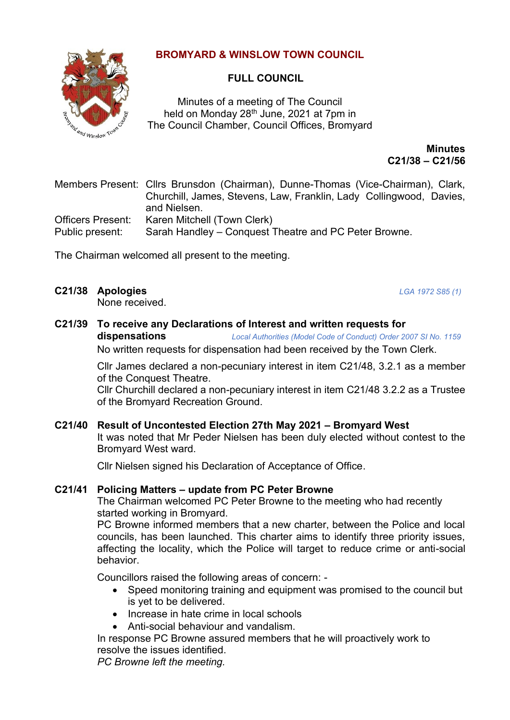# **BROMYARD & WINSLOW TOWN COUNCIL**



# **FULL COUNCIL**

Minutes of a meeting of The Council held on Monday 28<sup>th</sup> June, 2021 at 7pm in The Council Chamber, Council Offices, Bromyard

> **Minutes C21/38 – C21/56**

Members Present: Cllrs Brunsdon (Chairman), Dunne-Thomas (Vice-Chairman), Clark, Churchill, James, Stevens, Law, Franklin, Lady Collingwood, Davies, and Nielsen. Officers Present: Karen Mitchell (Town Clerk) Public present: Sarah Handley – Conquest Theatre and PC Peter Browne.

The Chairman welcomed all present to the meeting.

**C21/38 Apologies** *LGA 1972 S85 (1)* 

None received.

**C21/39 To receive any Declarations of Interest and written requests for** 

**dispensations** *Local Authorities (Model Code of Conduct) Order 2007 SI No. 1159* No written requests for dispensation had been received by the Town Clerk.

Cllr James declared a non-pecuniary interest in item C21/48, 3.2.1 as a member of the Conquest Theatre.

Cllr Churchill declared a non-pecuniary interest in item C21/48 3.2.2 as a Trustee of the Bromyard Recreation Ground.

**C21/40 Result of Uncontested Election 27th May 2021 – Bromyard West** It was noted that Mr Peder Nielsen has been duly elected without contest to the Bromyard West ward.

Cllr Nielsen signed his Declaration of Acceptance of Office.

# **C21/41 Policing Matters – update from PC Peter Browne**

The Chairman welcomed PC Peter Browne to the meeting who had recently started working in Bromyard.

PC Browne informed members that a new charter, between the Police and local councils, has been launched. This charter aims to identify three priority issues, affecting the locality, which the Police will target to reduce crime or anti-social behavior.

Councillors raised the following areas of concern: -

- Speed monitoring training and equipment was promised to the council but is yet to be delivered.
- Increase in hate crime in local schools
- Anti-social behaviour and vandalism.

In response PC Browne assured members that he will proactively work to resolve the issues identified.

*PC Browne left the meeting.*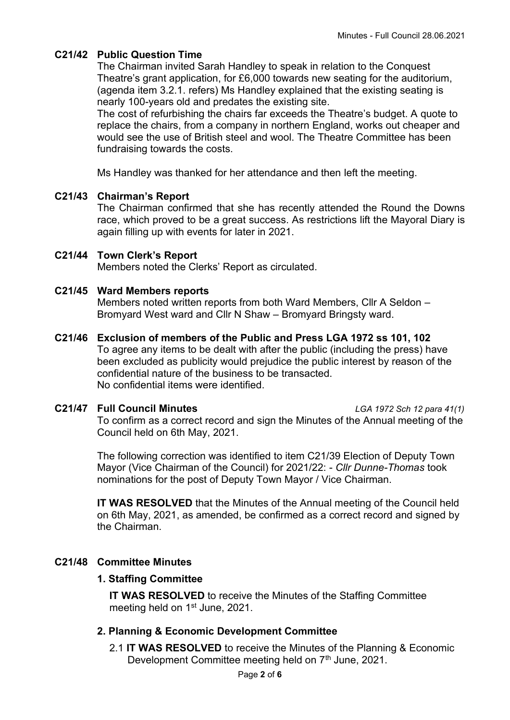# **C21/42 Public Question Time**

The Chairman invited Sarah Handley to speak in relation to the Conquest Theatre's grant application, for £6,000 towards new seating for the auditorium, (agenda item 3.2.1. refers) Ms Handley explained that the existing seating is nearly 100-years old and predates the existing site.

The cost of refurbishing the chairs far exceeds the Theatre's budget. A quote to replace the chairs, from a company in northern England, works out cheaper and would see the use of British steel and wool. The Theatre Committee has been fundraising towards the costs.

Ms Handley was thanked for her attendance and then left the meeting.

### **C21/43 Chairman's Report**

The Chairman confirmed that she has recently attended the Round the Downs race, which proved to be a great success. As restrictions lift the Mayoral Diary is again filling up with events for later in 2021.

### **C21/44 Town Clerk's Report**

Members noted the Clerks' Report as circulated.

### **C21/45 Ward Members reports**

Members noted written reports from both Ward Members, Cllr A Seldon – Bromyard West ward and Cllr N Shaw – Bromyard Bringsty ward.

#### **C21/46 Exclusion of members of the Public and Press LGA 1972 ss 101, 102** To agree any items to be dealt with after the public (including the press) have been excluded as publicity would prejudice the public interest by reason of the confidential nature of the business to be transacted.

No confidential items were identified.

**C21/47 Full Council Minutes** *LGA 1972 Sch 12 para 41(1)* To confirm as a correct record and sign the Minutes of the Annual meeting of the Council held on 6th May, 2021.

> The following correction was identified to item C21/39 Election of Deputy Town Mayor (Vice Chairman of the Council) for 2021/22: - *Cllr Dunne-Thomas* took nominations for the post of Deputy Town Mayor / Vice Chairman.

**IT WAS RESOLVED** that the Minutes of the Annual meeting of the Council held on 6th May, 2021, as amended, be confirmed as a correct record and signed by the Chairman.

# **C21/48 Committee Minutes**

#### **1. Staffing Committee**

**IT WAS RESOLVED** to receive the Minutes of the Staffing Committee meeting held on 1<sup>st</sup> June, 2021.

# **2. Planning & Economic Development Committee**

2.1 **IT WAS RESOLVED** to receive the Minutes of the Planning & Economic Development Committee meeting held on 7<sup>th</sup> June, 2021.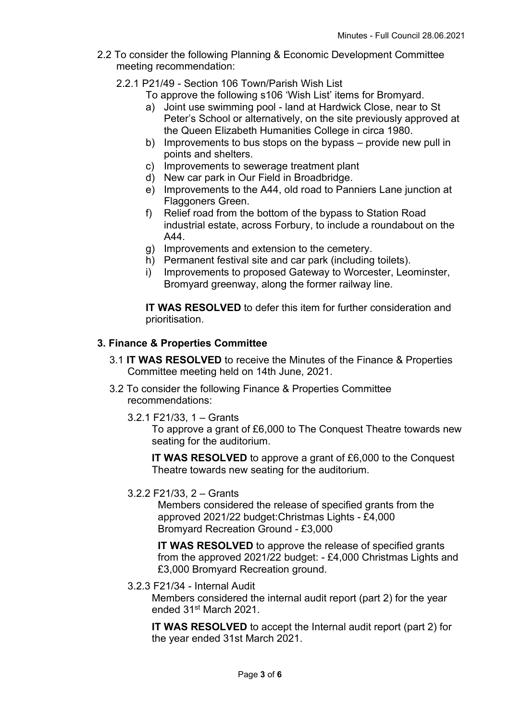- 2.2 To consider the following Planning & Economic Development Committee meeting recommendation:
	- 2.2.1 P21/49 Section 106 Town/Parish Wish List
		- To approve the following s106 'Wish List' items for Bromyard.
		- a) Joint use swimming pool land at Hardwick Close, near to St Peter's School or alternatively, on the site previously approved at the Queen Elizabeth Humanities College in circa 1980.
		- b) Improvements to bus stops on the bypass provide new pull in points and shelters.
		- c) Improvements to sewerage treatment plant
		- d) New car park in Our Field in Broadbridge.
		- e) Improvements to the A44, old road to Panniers Lane junction at Flaggoners Green.
		- f) Relief road from the bottom of the bypass to Station Road industrial estate, across Forbury, to include a roundabout on the A44.
		- g) Improvements and extension to the cemetery.
		- h) Permanent festival site and car park (including toilets).
		- i) Improvements to proposed Gateway to Worcester, Leominster, Bromyard greenway, along the former railway line.

**IT WAS RESOLVED** to defer this item for further consideration and prioritisation.

# **3. Finance & Properties Committee**

- 3.1 **IT WAS RESOLVED** to receive the Minutes of the Finance & Properties Committee meeting held on 14th June, 2021.
- 3.2 To consider the following Finance & Properties Committee recommendations:
	- 3.2.1 F21/33, 1 Grants

To approve a grant of £6,000 to The Conquest Theatre towards new seating for the auditorium.

**IT WAS RESOLVED** to approve a grant of £6,000 to the Conquest Theatre towards new seating for the auditorium.

3.2.2 F21/33, 2 – Grants

Members considered the release of specified grants from the approved 2021/22 budget:Christmas Lights - £4,000 Bromyard Recreation Ground - £3,000

**IT WAS RESOLVED** to approve the release of specified grants from the approved 2021/22 budget: - £4,000 Christmas Lights and £3,000 Bromyard Recreation ground.

# 3.2.3 F21/34 - Internal Audit

Members considered the internal audit report (part 2) for the year ended 31st March 2021.

**IT WAS RESOLVED** to accept the Internal audit report (part 2) for the year ended 31st March 2021.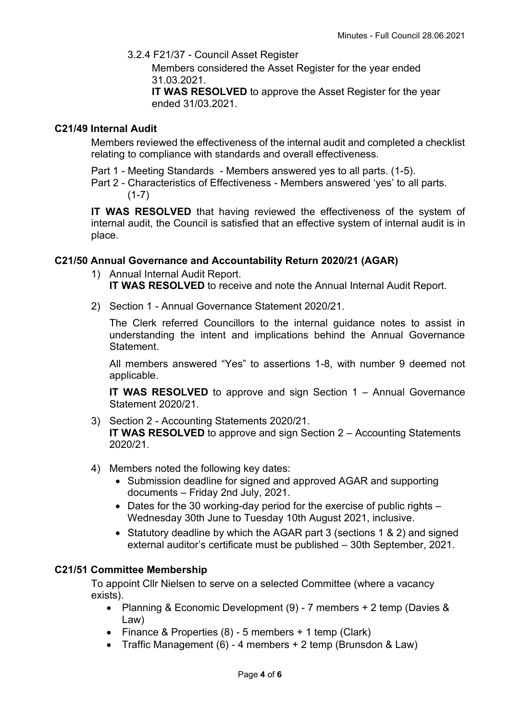3.2.4 F21/37 - Council Asset Register

Members considered the Asset Register for the year ended 31.03.2021.

**IT WAS RESOLVED** to approve the Asset Register for the year ended 31/03.2021.

# **C21/49 Internal Audit**

Members reviewed the effectiveness of the internal audit and completed a checklist relating to compliance with standards and overall effectiveness.

Part 1 - Meeting Standards - Members answered yes to all parts. (1-5).

Part 2 - Characteristics of Effectiveness - Members answered 'yes' to all parts.  $(1-7)$ 

**IT WAS RESOLVED** that having reviewed the effectiveness of the system of internal audit, the Council is satisfied that an effective system of internal audit is in place.

# **C21/50 Annual Governance and Accountability Return 2020/21 (AGAR)**

- 1) Annual Internal Audit Report. **IT WAS RESOLVED** to receive and note the Annual Internal Audit Report.
- 2) Section 1 Annual Governance Statement 2020/21.

The Clerk referred Councillors to the internal guidance notes to assist in understanding the intent and implications behind the Annual Governance **Statement** 

All members answered "Yes" to assertions 1-8, with number 9 deemed not applicable.

**IT WAS RESOLVED** to approve and sign Section 1 – Annual Governance Statement 2020/21.

- 3) Section 2 Accounting Statements 2020/21. **IT WAS RESOLVED** to approve and sign Section 2 – Accounting Statements 2020/21.
- 4) Members noted the following key dates:
	- Submission deadline for signed and approved AGAR and supporting documents – Friday 2nd July, 2021.
	- Dates for the 30 working-day period for the exercise of public rights Wednesday 30th June to Tuesday 10th August 2021, inclusive.
	- Statutory deadline by which the AGAR part 3 (sections 1 & 2) and signed external auditor's certificate must be published – 30th September, 2021.

# **C21/51 Committee Membership**

To appoint Cllr Nielsen to serve on a selected Committee (where a vacancy exists).

- Planning & Economic Development (9) 7 members + 2 temp (Davies & Law)
- Finance & Properties (8) 5 members + 1 temp (Clark)
- Traffic Management (6) 4 members + 2 temp (Brunsdon & Law)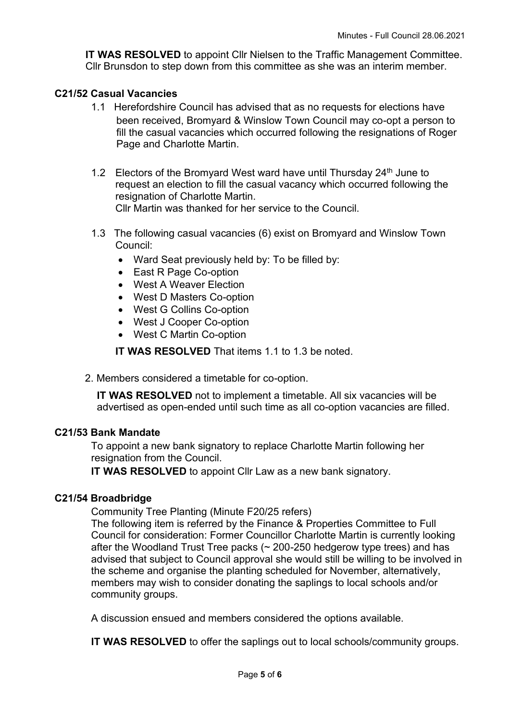**IT WAS RESOLVED** to appoint Cllr Nielsen to the Traffic Management Committee. Cllr Brunsdon to step down from this committee as she was an interim member.

# **C21/52 Casual Vacancies**

- 1.1 Herefordshire Council has advised that as no requests for elections have been received, Bromyard & Winslow Town Council may co-opt a person to fill the casual vacancies which occurred following the resignations of Roger Page and Charlotte Martin.
- 1.2 Electors of the Bromyard West ward have until Thursday 24<sup>th</sup> June to request an election to fill the casual vacancy which occurred following the resignation of Charlotte Martin. Cllr Martin was thanked for her service to the Council.
- 1.3 The following casual vacancies (6) exist on Bromyard and Winslow Town Council:
	- Ward Seat previously held by: To be filled by:
	- East R Page Co-option
	- West A Weaver Election
	- West D Masters Co-option
	- West G Collins Co-option
	- West J Cooper Co-option
	- West C Martin Co-option

**IT WAS RESOLVED** That items 1.1 to 1.3 be noted.

2. Members considered a timetable for co-option.

**IT WAS RESOLVED** not to implement a timetable. All six vacancies will be advertised as open-ended until such time as all co-option vacancies are filled.

# **C21/53 Bank Mandate**

To appoint a new bank signatory to replace Charlotte Martin following her resignation from the Council.

**IT WAS RESOLVED** to appoint Cllr Law as a new bank signatory.

# **C21/54 Broadbridge**

Community Tree Planting (Minute F20/25 refers)

The following item is referred by the Finance & Properties Committee to Full Council for consideration: Former Councillor Charlotte Martin is currently looking after the Woodland Trust Tree packs (~ 200-250 hedgerow type trees) and has advised that subject to Council approval she would still be willing to be involved in the scheme and organise the planting scheduled for November, alternatively, members may wish to consider donating the saplings to local schools and/or community groups.

A discussion ensued and members considered the options available.

**IT WAS RESOLVED** to offer the saplings out to local schools/community groups.